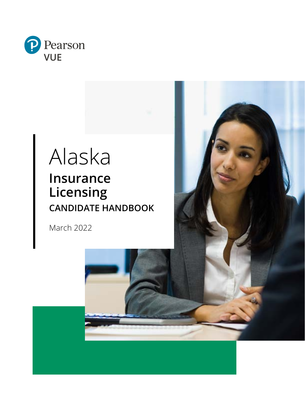

# Alaska **Insurance Licensing CANDIDATE HANDBOOK**

March 2022

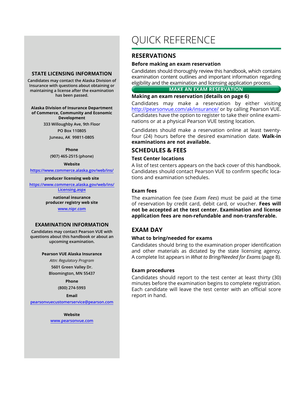#### **STATE LICENSING INFORMATION**

**Candidates may contact the Alaska Division of Insurance with questions about obtaining or maintaining a license after the examination has been passed.**

**Alaska Division of Insurance Department of Commerce, Community and Economic Development 333 Willoughby Ave, 9th Floor**

> **PO Box 110805 Juneau, AK 99811-0805**

> > **Phone**

**(907) 465-2515 (phone)**

**Website**

**https://www.commerce.alaska.gov/web/ins/**

**producer licensing web site**

**https://www.commerce.alaska.gov/web/ins/ Licensing.aspx**

> **national insurance producer registry web site**

#### **www.nipr.com**

#### **EXAMINATION INFORMATION**

**Candidates may contact Pearson VUE with questions about this handbook or about an upcoming examination.**

#### **Pearson VUE Alaska Insurance**

*Attn: Regulatory Program*  **5601 Green Valley Dr. Bloomington, MN 55437**

> **Phone (800) 274-5993**

> > **Email**

**pearsonvuecustomerservice@pearson.com**

**Website www.pearsonvue.com**

## QUICK REFERENCE

## **RESERVATIONS**

#### **Before making an exam reservation**

Candidates should thoroughly review this handbook, which contains examination content outlines and important information regarding eligibility and the examination and licensing application process.

**MAKE AN EXAM RESERVATION**

**Making an exam reservation (details on page 6)**

Candidates may make a reservation by either visiting http://pearsonvue.com/ak/insurance/ or by calling Pearson VUE. Candidates have the option to register to take their online examinations or at a physical Pearson VUE testing location.

Candidates should make a reservation online at least twentyfour (24) hours before the desired examination date. **Walk-in examinations are not available.**

#### **SCHEDULES & FEES**

#### **Test Center locations**

A list of test centers appears on the back cover of this handbook. Candidates should contact Pearson VUE to confirm specific locations and examination schedules.

#### **Exam fees**

The examination fee (see *Exam Fees*) must be paid at the time of reservation by credit card, debit card, or voucher. **Fees will not be accepted at the test center. Examination and license application fees are non-refundable and non-transferable.**

## **EXAM DAY**

#### **What to bring/needed for exams**

Candidates should bring to the examination proper identification and other materials as dictated by the state licensing agency. A complete list appears in *What to Bring/Needed for Exams* (page 8).

#### **Exam procedures**

Candidates should report to the test center at least thirty (30) minutes before the examination begins to complete registration. Each candidate will leave the test center with an official score report in hand.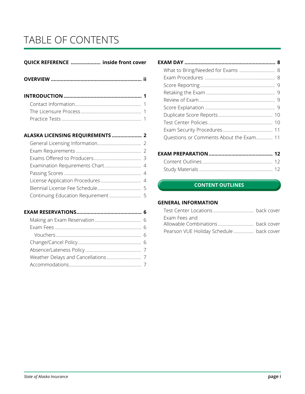## TABLE OF CONTENTS

## **QUICK REFERENCE ..................... inside front cover**

## **ALASKA LICENSING REQUIREMENTS ..................... 2**

## **EXAM RESERVATIONS.............................................. 6**

| What to Bring/Needed for Exams  8       |  |
|-----------------------------------------|--|
|                                         |  |
|                                         |  |
|                                         |  |
|                                         |  |
|                                         |  |
|                                         |  |
|                                         |  |
|                                         |  |
| Questions or Comments About the Exam 11 |  |
|                                         |  |

## **EXAM CONTENT OUTLINES CONTENT OUTLINES**

#### **GENERAL INFORMATION**

| Exam Fees and                           |  |
|-----------------------------------------|--|
|                                         |  |
| Pearson VUE Holiday Schedule back cover |  |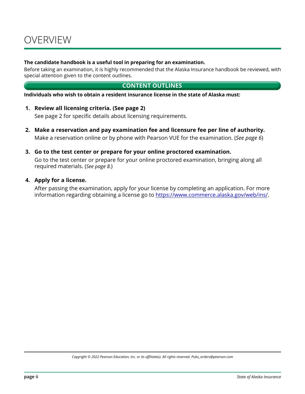#### **The candidate handbook is a useful tool in preparing for an examination.**

Before taking an examination, it is highly recommended that the Alaska Insurance handbook be reviewed, with special attention given to the content outlines.

## **CONTENT OUTLINES**

**Individuals who wish to obtain a resident insurance license in the state of Alaska must:**

**1. Review all licensing criteria. (See page 2)**

See page 2 for specific details about licensing requirements.

- **2. Make a reservation and pay examination fee and licensure fee per line of authority.** Make a reservation online or by phone with Pearson VUE for the examination. (*See page 6*)
- **3. Go to the test center or prepare for your online proctored examination.**

Go to the test center or prepare for your online proctored examination, bringing along all required materials. (*See page 8.*)

#### **4. Apply for a license.**

After passing the examination, apply for your license by completing an application. For more information regarding obtaining a license go to https://www.commerce.alaska.gov/web/ins/.

*Copyright © 2022 Pearson Education, Inc. or its affiliate(s). All rights reserved. Pubs\_orders@pearson.com*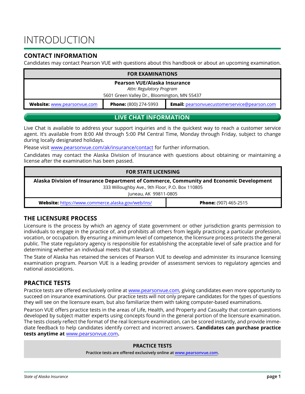## INTRODUCTION

## **CONTACT INFORMATION**

Candidates may contact Pearson VUE with questions about this handbook or about an upcoming examination.

| <b>FOR EXAMINATIONS</b>                                                                                                   |  |  |  |  |
|---------------------------------------------------------------------------------------------------------------------------|--|--|--|--|
| Pearson VUE/Alaska Insurance                                                                                              |  |  |  |  |
| Attn: Regulatory Program                                                                                                  |  |  |  |  |
| 5601 Green Valley Dr., Bloomington, MN 55437                                                                              |  |  |  |  |
| <b>Website:</b> www.pearsonvue.com<br><b>Phone:</b> (800) 274-5993<br><b>Email:</b> pearsonvuecustomerservice@pearson.com |  |  |  |  |

### **LIVE CHAT INFORMATION**

Live Chat is available to address your support inquiries and is the quickest way to reach a customer service agent. It's available from 8:00 AM through 5:00 PM Central Time, Monday through Friday, subject to change during locally designated holidays.

Please visit www.pearsonvue.com/ak/insurance/contact for further information.

Candidates may contact the Alaska Division of Insurance with questions about obtaining or maintaining a license after the examination has been passed.

| <b>FOR STATE LICENSING</b>                                                              |                              |  |  |  |
|-----------------------------------------------------------------------------------------|------------------------------|--|--|--|
| Alaska Division of Insurance Department of Commerce, Community and Economic Development |                              |  |  |  |
| 333 Willoughby Ave., 9th Floor, P.O. Box 110805                                         |                              |  |  |  |
| Juneau, AK 99811-0805                                                                   |                              |  |  |  |
| Website: https://www.commerce.alaska.gov/web/ins/                                       | <b>Phone:</b> (907) 465-2515 |  |  |  |

### **THE LICENSURE PROCESS**

Licensure is the process by which an agency of state government or other jurisdiction grants permission to individuals to engage in the practice of, and prohibits all others from legally practicing a particular profession, vocation, or occupation. By ensuring a minimum level of competence, the licensure process protects the general public. The state regulatory agency is responsible for establishing the acceptable level of safe practice and for determining whether an individual meets that standard.

The State of Alaska has retained the services of Pearson VUE to develop and administer its insurance licensing examination program. Pearson VUE is a leading provider of assessment services to regulatory agencies and national associations.

## **PRACTICE TESTS**

Practice tests are offered exclusively online at www.pearsonvue.com, giving candidates even more opportunity to succeed on insurance examinations. Our practice tests will not only prepare candidates for the types of questions they will see on the licensure exam, but also familiarize them with taking computer-based examinations.

Pearson VUE offers practice tests in the areas of Life, Health, and Property and Casualty that contain questions developed by subject matter experts using concepts found in the general portion of the licensure examination. The tests closely reflect the format of the real licensure examination, can be scored instantly, and provide immediate feedback to help candidates identify correct and incorrect answers. **Candidates can purchase practice tests anytime at** www.pearsonvue.com**.**

#### **PRACTICE TESTS**

**Practice tests are offered exclusively online at www.pearsonvue.com.**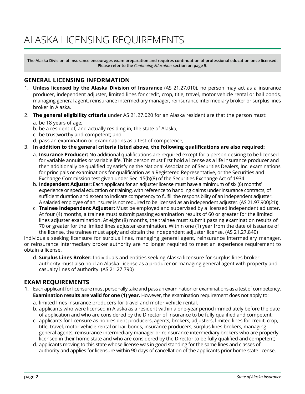## ALASKA LICENSING REQUIREMENTS

**The Alaska Division of Insurance encourages exam preparation and requires continuation of professional education once licensed. Please refer to the** *Continuing Education* **section on page 5.**

## **GENERAL LICENSING INFORMATION**

- 1. **Unless licensed by the Alaska Division of Insurance** (AS 21.27.010), no person may act as a insurance producer, independent adjuster, limited lines for credit, crop, title, travel, motor vehicle rental or bail bonds, managing general agent, reinsurance intermediary manager, reinsurance intermediary broker or surplus lines broker in Alaska.
- 2. **The general eligibility criteria** under AS 21.27.020 for an Alaska resident are that the person must:
	- a. be 18 years of age;
	- b. be a resident of, and actually residing in, the state of Alaska;
	- c. be trustworthy and competent; and
	- d. pass an examination or examinations as a test of competence;
- 3. **In addition to the general criteria listed above, the following qualifications are also required:**
	- a. **Insurance Producer:** No additional qualifications are required except for a person desiring to be licensed for variable annuities or variable life. This person must first hold a license as a life insurance producer and then additionally be qualified by satisfying the National Association of Securities Dealers, Inc. examinations for principals or examinations for qualification as a Registered Representative, or the Securities and Exchange Commission test given under Sec. 15(b)(8) of the Securities Exchange Act of 1934.
	- b. **Independent Adjuster:** Each applicant for an adjuster license must have a minimum of six (6) months' experience or special education or training, with reference to handling claims under insurance contracts, of sufficient duration and extent to indicate competency to fulfill the responsibility of an independent adjuster. A salaried employee of an insurer is not required to be licensed as an independent adjuster. (AS 21.97.900(21))
	- c. **Trainee Independent Adjuster:** Must be employed and supervised by a licensed independent adjuster. At four (4) months, a trainee must submit passing examination results of 60 or greater for the limited lines adjuster examination. At eight (8) months, the trainee must submit passing examination results of 70 or greater for the limited lines adjuster examination. Within one (1) year from the date of issuance of the license, the trainee must apply and obtain the independent adjuster license. (AS 21.27.840)

Individuals seeking licensure for surplus lines, managing general agent, reinsurance intermediary manager, or reinsurance intermediary broker authority are no longer required to meet an experience requirement to obtain a license.

d. **Surplus Lines Broker:** Individuals and entities seeking Alaska licensure for surplus lines broker authority must also hold an Alaska License as a producer or managing general agent with property and casualty lines of authority. (AS 21.27.790)

## **EXAM REQUIREMENTS**

- 1. Each applicant for licensure must personally take and pass an examination or examinations as a test of competency. **Examination results are valid for one (1) year.** However, the examination requirement does not apply to:
	- a. limited lines insurance producers for travel and motor vehicle rental.
	- b. applicants who were licensed in Alaska as a resident within a one-year period immediately before the date of application and who are considered by the Director of Insurance to be fully qualified and competent;
	- c. applicants for licensure as nonresident producers, agents, brokers, adjusters, limited lines for credit, crop, title, travel, motor vehicle rental or bail bonds, insurance producers, surplus lines brokers, managing general agents, reinsurance intermediary manager or reinsurance intermediary brokers who are properly licensed in their home state and who are considered by the Director to be fully qualified and competent;
	- d. applicants moving to this state whose license was in good standing for the same lines and classes of authority and applies for licensure within 90 days of cancellation of the applicants prior home state license.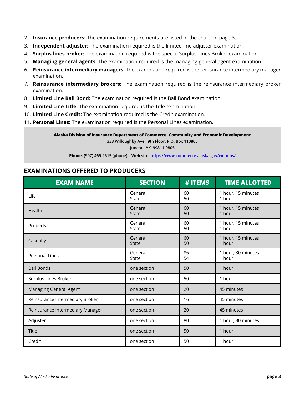- 2. **Insurance producers:** The examination requirements are listed in the chart on page 3.
- 3. **Independent adjuster:** The examination required is the limited line adjuster examination.
- 4. **Surplus lines broker:** The examination required is the special Surplus Lines Broker examination.
- 5. **Managing general agents:** The examination required is the managing general agent examination.
- 6. **Reinsurance intermediary managers:** The examination required is the reinsurance intermediary manager examination.
- 7. **Reinsurance intermediary brokers:** The examination required is the reinsurance intermediary broker examination.
- 8. **Limited Line Bail Bond:** The examination required is the Bail Bond examination.
- 9. **Limited Line Title:** The examination required is the Title examination.
- 10. **Limited Line Credit:** The examination required is the Credit examination.
- 11. **Personal Lines:** The examination required is the Personal Lines examination.

**Alaska Division of Insurance Department of Commerce, Community and Economic Development**

**333 Willoughby Ave., 9th Floor, P.O. Box 110805 Juneau, AK 99811-0805**

**Phone: (907) 465-2515 (phone) Web site: https://www.commerce.alaska.gov/web/ins/**

## **EXAMINATIONS OFFERED TO PRODUCERS**

| <b>EXAM NAME</b>                 | <b>SECTION</b>               | # ITEMS  | <b>TIME ALLOTTED</b>         |
|----------------------------------|------------------------------|----------|------------------------------|
| Life                             | General<br>60<br>50<br>State |          | 1 hour, 15 minutes<br>1 hour |
| Health                           | General<br><b>State</b>      | 60<br>50 | 1 hour, 15 minutes<br>1 hour |
| Property                         | General<br>State             | 60<br>50 | 1 hour, 15 minutes<br>1 hour |
| Casualty                         | General<br><b>State</b>      | 60<br>50 | 1 hour, 15 minutes<br>1 hour |
| <b>Personal Lines</b>            | General<br>State             | 86<br>54 | 1 hour, 30 minutes<br>1 hour |
| <b>Bail Bonds</b>                | one section                  | 50       | 1 hour                       |
| Surplus Lines Broker             | one section                  | 50       | 1 hour                       |
| Managing General Agent           | one section                  | 20       | 45 minutes                   |
| Reinsurance Intermediary Broker  | one section                  | 16       | 45 minutes                   |
| Reinsurance Intermediary Manager | one section                  | 20       | 45 minutes                   |
| Adjuster                         | one section                  | 80       | 1 hour, 30 minutes           |
| <b>Title</b>                     | one section                  | 50       | 1 hour                       |
| Credit                           | one section                  | 50       | 1 hour                       |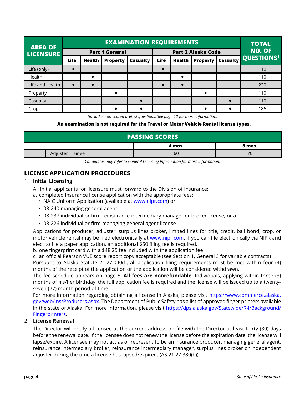| <b>AREA OF</b>   | <b>EXAMINATION REQUIREMENTS</b> |                       |                 |          |                           |               |                 | <b>TOTAL</b>  |                            |
|------------------|---------------------------------|-----------------------|-----------------|----------|---------------------------|---------------|-----------------|---------------|----------------------------|
| <b>LICENSURE</b> |                                 | <b>Part 1 General</b> |                 |          | <b>Part 2 Alaska Code</b> |               |                 | <b>NO. OF</b> |                            |
|                  | Life                            | <b>Health</b>         | <b>Property</b> | Casualty | Life                      | <b>Health</b> | <b>Property</b> |               | <b>Casualty QUESTIONS'</b> |
| Life (only)      |                                 |                       |                 |          |                           |               |                 |               | 110                        |
| Health           |                                 |                       |                 |          |                           |               |                 |               | 110                        |
| Life and Health  | $\bullet$                       |                       |                 |          | $\bullet$                 |               |                 |               | 220                        |
| Property         |                                 |                       | $\bullet$       |          |                           |               | $\bullet$       |               | 110                        |
| Casualty         |                                 |                       |                 |          |                           |               |                 |               | 110                        |
| Crop             |                                 |                       |                 |          |                           |               |                 |               | 186                        |

*1 Includes non-scored pretest questions. See page 12 for more information.*

#### **An examination is not required for the Travel or Motor Vehicle Rental license types.**

| <b>PASSING SCORES</b> |                  |        |        |  |
|-----------------------|------------------|--------|--------|--|
|                       |                  | 4 mos. | 8 mos. |  |
|                       | Adjuster Trainee | 60     | 70     |  |

*Candidates may refer to General Licensing Information for more information.*

## **LICENSE APPLICATION PROCEDURES**

#### 1. **Initial Licensing**

All initial applicants for licensure must forward to the Division of Insurance:

- a. completed insurance license application with the appropriate fees:
	- NAIC Uniform Application (available at www.nipr.com) or
	- 08-240 managing general agent
	- 08-237 individual or firm reinsurance intermediary manager or broker license; or a
	- 08-226 individual or firm managing general agent license

Applications for producer, adjuster, surplus lines broker, limited lines for title, credit, bail bond, crop, or motor vehicle rental may be filed electronically at www.nipr.com. If you can file electronically via NIPR and elect to file a paper application, an additional \$50 filing fee is required.

b. one fingerprint card with a \$48.25 fee included with the application fee

c. an official Pearson VUE score report copy acceptable (see Section 1, General 3 for variable contracts)

Pursuant to Alaska Statute 21.27.040(f), all application filing requirements must be met within four (4) months of the receipt of the application or the application will be considered withdrawn.

The fee schedule appears on page 5. **All fees are nonrefundable.** Individuals, applying within three (3) months of his/her birthday, the full application fee is required and the license will be issued up to a twentyseven (27) month period of time.

For more information regarding obtaining a license in Alaska, please visit https://www.commerce.alaska. gov/web/ins/Producers.aspx. The Department of Public Safety has a list of approved finger printers available in the state of Alaska. For more information, please visit https://dps.alaska.gov/Statewide/R-I/Background/ Fingerprinters.

#### 2. **License Renewal**

The Director will notify a licensee at the current address on file with the Director at least thirty (30) days before the renewal date. If the licensee does not renew the license before the expiration date, the license will lapse/expire. A licensee may not act as or represent to be an insurance producer, managing general agent, reinsurance intermediary broker, reinsurance intermediary manager, surplus lines broker or independent adjuster during the time a license has lapsed/expired. (AS 21.27.380(b))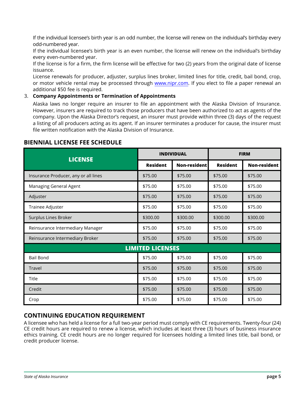If the individual licensee's birth year is an odd number, the license will renew on the individual's birthday every odd-numbered year.

If the individual licensee's birth year is an even number, the license will renew on the individual's birthday every even-numbered year.

If the license is for a firm, the firm license will be effective for two (2) years from the original date of license issuance.

License renewals for producer, adjuster, surplus lines broker, limited lines for title, credit, bail bond, crop, or motor vehicle rental may be processed through www.nipr.com. If you elect to file a paper renewal an additional \$50 fee is required.

#### 3. **Company Appointments or Termination of Appointments**

Alaska laws no longer require an insurer to file an appointment with the Alaska Division of Insurance. However, insurers are required to track those producers that have been authorized to act as agents of the company. Upon the Alaska Director's request, an insurer must provide within three (3) days of the request a listing of all producers acting as its agent. If an insurer terminates a producer for cause, the insurer must file written notification with the Alaska Division of Insurance.

| <b>LICENSE</b>                       | <b>INDIVIDUAL</b> |              | <b>FIRM</b>     |                     |  |  |
|--------------------------------------|-------------------|--------------|-----------------|---------------------|--|--|
|                                      | <b>Resident</b>   | Non-resident | <b>Resident</b> | <b>Non-resident</b> |  |  |
| Insurance Producer, any or all lines | \$75.00           | \$75.00      | \$75.00         | \$75.00             |  |  |
| Managing General Agent               | \$75.00           | \$75.00      | \$75.00         | \$75.00             |  |  |
| \$75.00<br>Adjuster                  |                   | \$75.00      | \$75.00         | \$75.00             |  |  |
| \$75.00<br>Trainee Adjuster          |                   | \$75.00      | \$75.00         | \$75.00             |  |  |
| Surplus Lines Broker<br>\$300.00     |                   | \$300.00     | \$300.00        | \$300.00            |  |  |
| Reinsurance Intermediary Manager     | \$75.00           | \$75.00      | \$75.00         | \$75.00             |  |  |
| Reinsurance Intermediary Broker      | \$75.00           | \$75.00      | \$75.00         | \$75.00             |  |  |
| <b>LIMITED LICENSES</b>              |                   |              |                 |                     |  |  |
| <b>Bail Bond</b>                     | \$75.00           | \$75.00      | \$75.00         | \$75.00             |  |  |
| <b>Travel</b>                        | \$75.00           | \$75.00      | \$75.00         | \$75.00             |  |  |
| Title                                | \$75.00           | \$75.00      | \$75.00         | \$75.00             |  |  |
| Credit                               | \$75.00           | \$75.00      | \$75.00         | \$75.00             |  |  |
| Crop                                 | \$75.00           | \$75.00      | \$75.00         | \$75.00             |  |  |

## **BIENNIAL LICENSE FEE SCHEDULE**

## **CONTINUING EDUCATION REQUIREMENT**

A licensee who has held a license for a full two-year period must comply with CE requirements. Twenty-four (24) CE credit hours are required to renew a license, which includes at least three (3) hours of business insurance ethics training. CE credit hours are no longer required for licensees holding a limited lines title, bail bond, or credit producer license.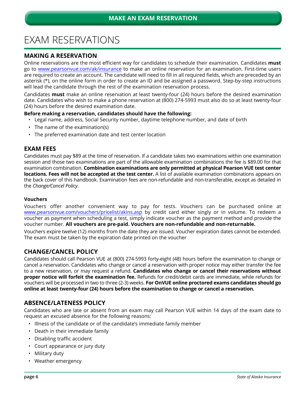## EXAM RESERVATIONS

## **MAKING A RESERVATION**

Online reservations are the most efficient way for candidates to schedule their examination. Candidates **must** go to www.pearsonvue.com/ak/insurance to make an online reservation for an examination. First-time users are required to create an account. The candidate will need to fill in all required fields, which are preceded by an asterisk (\*), on the online form in order to create an ID and be assigned a password. Step-by-step instructions will lead the candidate through the rest of the examination reservation process.

Candidates **must** make an online reservation at least twenty-four (24) hours before the desired examination date. Candidates who wish to make a phone reservation at (800) 274-5993 must also do so at least twenty-four (24) hours before the desired examination date.

#### **Before making a reservation, candidates should have the following:**

- Legal name, address, Social Security number, daytime telephone number, and date of birth
- The name of the examination(s)
- The preferred examination date and test center location

#### **EXAM FEES**

Candidates must pay \$89 at the time of reservation. If a candidate takes two examinations within one examination session and those two examinations are part of the allowable examination combinations the fee is \$89.00 for that examination combination. **Combination examinations are only permitted at physical Pearson VUE test center locations. Fees will not be accepted at the test center.** A list of available examination combinations appears on the back cover of this handbook. Examination fees are non-refundable and non-transferable, except as detailed in the *Change/Cancel Policy*.

#### **Vouchers**

Vouchers offer another convenient way to pay for tests. Vouchers can be purchased online at www.pearsonvue.com/vouchers/pricelist/akins.asp by credit card either singly or in volume. To redeem a voucher as payment when scheduling a test, simply indicate voucher as the payment method and provide the voucher number. **All vouchers are pre-paid. Vouchers are non-refundable and non-returnable.**

Vouchers expire twelve (12) months from the date they are issued. Voucher expiration dates cannot be extended. The exam must be taken by the expiration date printed on the voucher

### **CHANGE/CANCEL POLICY**

Candidates should call Pearson VUE at (800) 274-5993 forty-eight (48) hours before the examination to change or cancel a reservation. Candidates who change or cancel a reservation with proper notice may either transfer the fee to a new reservation, or may request a refund. **Candidates who change or cancel their reservations without proper notice will forfeit the examination fee.** Refunds for credit/debit cards are immediate, while refunds for vouchers will be processed in two to three (2-3) weeks. **For OnVUE online proctored exams candidates should go online at least twenty-four (24) hours before the examination to change or cancel a reservation.**

### **ABSENCE/LATENESS POLICY**

Candidates who are late or absent from an exam may call Pearson VUE within 14 days of the exam date to request an excused absence for the following reasons:

- Illness of the candidate or of the candidate's immediate family member
- Death in their immediate family
- Disabling traffic accident
- Court appearance or jury duty
- Military duty
- Weather emergency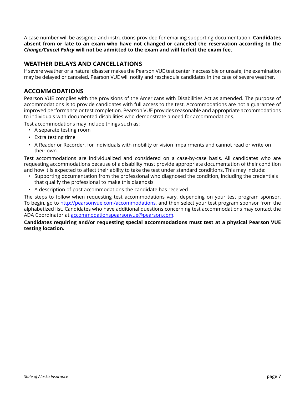A case number will be assigned and instructions provided for emailing supporting documentation. **Candidates absent from or late to an exam who have not changed or canceled the reservation according to the**  *Change/Cancel Policy* **will not be admitted to the exam and will forfeit the exam fee.**

## **WEATHER DELAYS AND CANCELLATIONS**

If severe weather or a natural disaster makes the Pearson VUE test center inaccessible or unsafe, the examination may be delayed or canceled. Pearson VUE will notify and reschedule candidates in the case of severe weather.

## **ACCOMMODATIONS**

Pearson VUE complies with the provisions of the Americans with Disabilities Act as amended. The purpose of accommodations is to provide candidates with full access to the test. Accommodations are not a guarantee of improved performance or test completion. Pearson VUE provides reasonable and appropriate accommodations to individuals with documented disabilities who demonstrate a need for accommodations.

Test accommodations may include things such as:

- A separate testing room
- Extra testing time
- A Reader or Recorder, for individuals with mobility or vision impairments and cannot read or write on their own

Test accommodations are individualized and considered on a case-by-case basis. All candidates who are requesting accommodations because of a disability must provide appropriate documentation of their condition and how it is expected to affect their ability to take the test under standard conditions. This may include:

- Supporting documentation from the professional who diagnosed the condition, including the credentials that qualify the professional to make this diagnosis
- A description of past accommodations the candidate has received

The steps to follow when requesting test accommodations vary, depending on your test program sponsor. To begin, go to http://pearsonvue.com/accommodations, and then select your test program sponsor from the alphabetized list. Candidates who have additional questions concerning test accommodations may contact the ADA Coordinator at accommodationspearsonvue@pearson.com.

#### **Candidates requiring and/or requesting special accommodations must test at a physical Pearson VUE testing location.**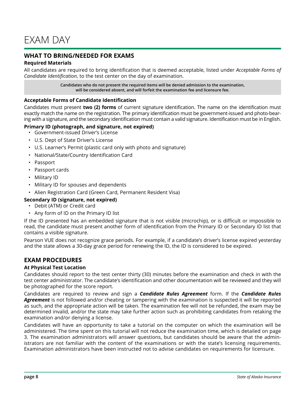## **WHAT TO BRING/NEEDED FOR EXAMS**

#### **Required Materials**

All candidates are required to bring identification that is deemed acceptable, listed under *Acceptable Forms of Candidate Identification*, to the test center on the day of examination.

> **Candidates who do not present the required items will be denied admission to the examination, will be considered absent, and will forfeit the examination fee and licensure fee.**

#### **Acceptable Forms of Candidate Identification**

Candidates must present **two (2) forms** of current signature identification. The name on the identification must exactly match the name on the registration. The primary identification must be government-issued and photo-bearing with a signature, and the secondary identification must contain a valid signature. Identification must be in English.

#### **Primary ID (photograph, and signature, not expired)**

- Government-issued Driver's License
- U.S. Dept of State Driver's License
- U.S. Learner's Permit (plastic card only with photo and signature)
- National/State/Country Identification Card
- Passport
- Passport cards
- Military ID
- Military ID for spouses and dependents
- Alien Registration Card (Green Card, Permanent Resident Visa)

#### **Secondary ID (signature, not expired)**

- Debit (ATM) or Credit card
- Any form of ID on the Primary ID list

If the ID presented has an embedded signature that is not visible (microchip), or is difficult or impossible to read, the candidate must present another form of identification from the Primary ID or Secondary ID list that contains a visible signature.

Pearson VUE does not recognize grace periods. For example, if a candidate's driver's license expired yesterday and the state allows a 30-day grace period for renewing the ID, the ID is considered to be expired.

### **EXAM PROCEDURES**

#### **At Physical Test Location**

Candidates should report to the test center thirty (30) minutes before the examination and check in with the test center administrator. The candidate's identification and other documentation will be reviewed and they will be photographed for the score report.

Candidates are required to review and sign a *Candidate Rules Agreement* form. If the *Candidate Rules Agreement* is not followed and/or cheating or tampering with the examination is suspected it will be reported as such, and the appropriate action will be taken. The examination fee will not be refunded, the exam may be determined invalid, and/or the state may take further action such as prohibiting candidates from retaking the examination and/or denying a license.

Candidates will have an opportunity to take a tutorial on the computer on which the examination will be administered. The time spent on this tutorial will not reduce the examination time, which is detailed on page 3. The examination administrators will answer questions, but candidates should be aware that the administrators are not familiar with the content of the examinations or with the state's licensing requirements. Examination administrators have been instructed not to advise candidates on requirements for licensure.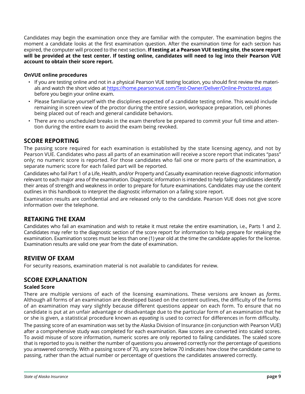Candidates may begin the examination once they are familiar with the computer. The examination begins the moment a candidate looks at the first examination question. After the examination time for each section has expired, the computer will proceed to the next section. **If testing at a Pearson VUE testing site, the score report will be provided at the test center. If testing online, candidates will need to log into their Pearson VUE account to obtain their score report.**

#### **OnVUE online procedures**

- If you are testing online and not in a physical Pearson VUE testing location, you should first review the materials and watch the short video at https://home.pearsonvue.com/Test-Owner/Deliver/Online-Proctored.aspx before you begin your online exam.
- Please familiarize yourself with the disciplines expected of a candidate testing online. This would include remaining in screen view of the proctor during the entire session, workspace preparation, cell phones being placed out of reach and general candidate behaviors.
- There are no unscheduled breaks in the exam therefore be prepared to commit your full time and attention during the entire exam to avoid the exam being revoked.

### **SCORE REPORTING**

The passing score required for each examination is established by the state licensing agency, and not by Pearson VUE. Candidates who pass all parts of an examination will receive a score report that indicates "pass" only; no numeric score is reported. For those candidates who fail one or more parts of the examination, a separate numeric score for each failed part will be reported.

Candidates who fail Part 1 of a Life, Health, and/or Property and Casualty examination receive diagnostic information relevant to each major area of the examination. Diagnostic information is intended to help failing candidates identify their areas of strength and weakness in order to prepare for future examinations. Candidates may use the content outlines in this handbook to interpret the diagnostic information on a failing score report.

Examination results are confidential and are released only to the candidate. Pearson VUE does not give score information over the telephone.

### **RETAKING THE EXAM**

Candidates who fail an examination and wish to retake it must retake the entire examination, i.e., Parts 1 and 2. Candidates may refer to the diagnostic section of the score report for information to help prepare for retaking the examination. Examination scores must be less than one (1) year old at the time the candidate applies for the license. Examination results are valid one year from the date of examination.

## **REVIEW OF EXAM**

For security reasons, examination material is not available to candidates for review.

### **SCORE EXPLANATION**

#### **Scaled Score**

There are multiple versions of each of the licensing examinations. These versions are known as *forms*. Although all forms of an examination are developed based on the content outlines, the difficulty of the forms of an examination may vary slightly because different questions appear on each form. To ensure that no candidate is put at an unfair advantage or disadvantage due to the particular form of an examination that he or she is given, a statistical procedure known as *equating* is used to correct for differences in form difficulty.

The passing score of an examination was set by the Alaska Division of Insurance (in conjunction with Pearson VUE) after a comprehensive study was completed for each examination. Raw scores are converted into scaled scores. To avoid misuse of score information, numeric scores are only reported to failing candidates. The scaled score that is reported to you is neither the number of questions you answered correctly nor the percentage of questions you answered correctly. With a passing score of 70, any score below 70 indicates how close the candidate came to passing, rather than the actual number or percentage of questions the candidates answered correctly.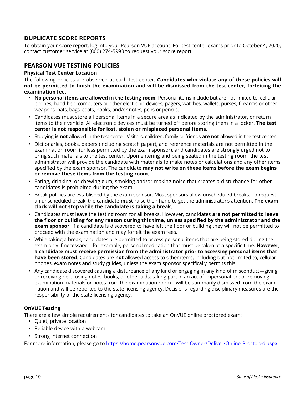## **DUPLICATE SCORE REPORTS**

To obtain your score report, log into your Pearson VUE account. For test center exams prior to October 4, 2020, contact customer service at (800) 274-5993 to request your score report.

## **PEARSON VUE TESTING POLICIES**

#### **Physical Test Center Location**

The following policies are observed at each test center. **Candidates who violate any of these policies will not be permitted to finish the examination and will be dismissed from the test center, forfeiting the examination fee.**

- **No personal items are allowed in the testing room.** Personal items include but are not limited to: cellular phones, hand-held computers or other electronic devices, pagers, watches, wallets, purses, firearms or other weapons, hats, bags, coats, books, and/or notes, pens or pencils.
- Candidates must store all personal items in a secure area as indicated by the administrator, or return items to their vehicle. All electronic devices must be turned off before storing them in a locker. **The test center is not responsible for lost, stolen or misplaced personal items.**
- Studying **is not** allowed in the test center. Visitors, children, family or friends **are not** allowed in the test center.
- Dictionaries, books, papers (including scratch paper), and reference materials are not permitted in the examination room (unless permitted by the exam sponsor), and candidates are strongly urged not to bring such materials to the test center. Upon entering and being seated in the testing room, the test administrator will provide the candidate with materials to make notes or calculations and any other items specified by the exam sponsor. The candidate **may not write on these items before the exam begins or remove these items from the testing room.**
- Eating, drinking, or chewing gum, smoking and/or making noise that creates a disturbance for other candidates is prohibited during the exam.
- Break policies are established by the exam sponsor. Most sponsors allow unscheduled breaks. To request an unscheduled break, the candidate **must** raise their hand to get the administrator's attention. **The exam clock will not stop while the candidate is taking a break.**
- Candidates must leave the testing room for all breaks. However, candidates **are not permitted to leave the floor or building for any reason during this time, unless specified by the administrator and the exam sponsor**. If a candidate is discovered to have left the floor or building they will not be permitted to proceed with the examination and may forfeit the exam fees.
- While taking a break, candidates are permitted to access personal items that are being stored during the exam only if necessary— for example, personal medication that must be taken at a specific time. **However, a candidate must receive permission from the administrator prior to accessing personal items that have been stored**. Candidates are **not** allowed access to other items, including but not limited to, cellular phones, exam notes and study guides, unless the exam sponsor specifically permits this.
- Any candidate discovered causing a disturbance of any kind or engaging in any kind of misconduct—giving or receiving help; using notes, books, or other aids; taking part in an act of impersonation; or removing examination materials or notes from the examination room—will be summarily dismissed from the examination and will be reported to the state licensing agency. Decisions regarding disciplinary measures are the responsibility of the state licensing agency.

#### **OnVUE Testing**

There are a few simple requirements for candidates to take an OnVUE online proctored exam:

- Quiet, private location
- Reliable device with a webcam
- Strong internet connection

For more information, please go to https://home.pearsonvue.com/Test-Owner/Deliver/Online-Proctored.aspx.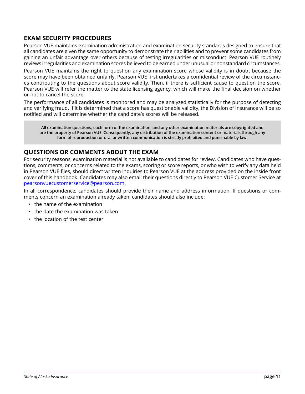## **EXAM SECURITY PROCEDURES**

Pearson VUE maintains examination administration and examination security standards designed to ensure that all candidates are given the same opportunity to demonstrate their abilities and to prevent some candidates from gaining an unfair advantage over others because of testing irregularities or misconduct. Pearson VUE routinely reviews irregularities and examination scores believed to be earned under unusual or nonstandard circumstances.

Pearson VUE maintains the right to question any examination score whose validity is in doubt because the score may have been obtained unfairly. Pearson VUE first undertakes a confidential review of the circumstances contributing to the questions about score validity. Then, if there is sufficient cause to question the score, Pearson VUE will refer the matter to the state licensing agency, which will make the final decision on whether or not to cancel the score.

The performance of all candidates is monitored and may be analyzed statistically for the purpose of detecting and verifying fraud. If it is determined that a score has questionable validity, the Division of Insurance will be so notified and will determine whether the candidate's scores will be released.

**All examination questions, each form of the examination, and any other examination materials are copyrighted and are the property of Pearson VUE. Consequently, any distribution of the examination content or materials through any form of reproduction or oral or written communication is strictly prohibited and punishable by law.**

## **QUESTIONS OR COMMENTS ABOUT THE EXAM**

For security reasons, examination material is not available to candidates for review. Candidates who have questions, comments, or concerns related to the exams, scoring or score reports, or who wish to verify any data held in Pearson VUE files, should direct written inquiries to Pearson VUE at the address provided on the inside front cover of this handbook. Candidates may also email their questions directly to Pearson VUE Customer Service at pearsonvuecustomerservice@pearson.com.

In all correspondence, candidates should provide their name and address information. If questions or comments concern an examination already taken, candidates should also include:

- the name of the examination
- the date the examination was taken
- the location of the test center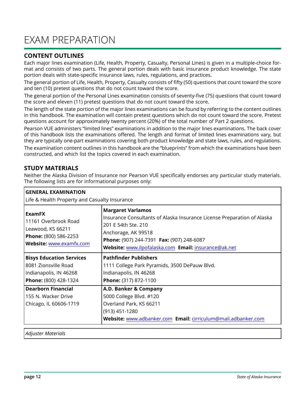## EXAM PREPARATION

## **CONTENT OUTLINES**

Each major lines examination (Life, Health, Property, Casualty, Personal Lines) is given in a multiple-choice format and consists of two parts. The general portion deals with basic insurance product knowledge. The state portion deals with state-specific insurance laws, rules, regulations, and practices.

The general portion of Life, Health, Property, Casualty consists of fifty (50) questions that count toward the score and ten (10) pretest questions that do not count toward the score.

The general portion of the Personal Lines examination consists of seventy-five (75) questions that count toward the score and eleven (11) pretest questions that do not count toward the score.

The length of the state portion of the major lines examinations can be found by referring to the content outlines in this handbook. The examination will contain pretest questions which do not count toward the score. Pretest questions account for approximately twenty percent (20%) of the total number of Part 2 questions.

Pearson VUE administers "limited lines" examinations in addition to the major lines examinations. The back cover of this handbook lists the examinations offered. The length and format of limited lines examinations vary, but they are typically one-part examinations covering both product knowledge and state laws, rules, and regulations.

The examination content outlines in this handbook are the "blueprints" from which the examinations have been constructed, and which list the topics covered in each examination.

## **STUDY MATERIALS**

Neither the Alaska Division of Insurance nor Pearson VUE specifically endorses any particular study materials. The following lists are for informational purposes only:

| <b>GENERAL EXAMINATION</b>                                                                                                                                                                                                                             |  |  |  |  |  |
|--------------------------------------------------------------------------------------------------------------------------------------------------------------------------------------------------------------------------------------------------------|--|--|--|--|--|
| Life & Health Property and Casualty Insurance                                                                                                                                                                                                          |  |  |  |  |  |
| <b>Margaret Varlamos</b><br>Insurance Consultants of Alaska Insurance License Preparation of Alaska<br>201 E 54th Ste. 210<br>Anchorage, AK 99518<br>Phone: (907) 244-7391 Fax: (907) 248-6087<br>Website: www.ilpofalaska.com Email: insurance@ak.net |  |  |  |  |  |
| <b>Pathfinder Publishers</b><br>1111 College Park Pyramids, 3500 DePauw Blvd.<br>Indianapolis, IN 46268<br>Phone: (317) 872-1100                                                                                                                       |  |  |  |  |  |
| A.D. Banker & Company<br>5000 College Blvd. #120<br>Overland Park, KS 66211<br>(913) 451-1280<br>Website: www.adbanker.com Email: cirriculum@mail.adbanker.com                                                                                         |  |  |  |  |  |
|                                                                                                                                                                                                                                                        |  |  |  |  |  |

*Adjuster Materials*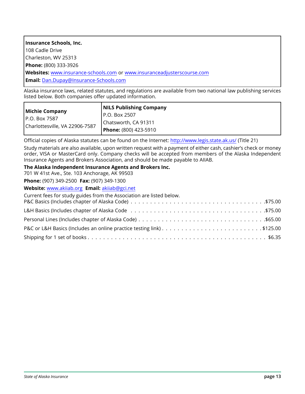| Insurance Schools, Inc.                                                        |
|--------------------------------------------------------------------------------|
| 108 Cadle Drive                                                                |
| Charleston, WV 25313                                                           |
| <b>Phone:</b> (800) 333-3926                                                   |
| <b>Websites:</b> www.insurance-schools.com or www.insuranceadjusterscourse.com |
| <b>Email:</b> Dan.Dupay@Insurance-Schools.com                                  |
| .<br>.                                                                         |

Alaska insurance laws, related statutes, and regulations are available from two national law publishing services listed below. Both companies offer updated information.

| Michie Company                 | <b>NILS Publishing Company</b> |
|--------------------------------|--------------------------------|
| IP.O. Box 7587                 | I P.O. Box 2507                |
| Charlottesville, VA 22906-7587 | Chatsworth, CA 91311           |
|                                | Phone: (800) 423-5910          |

Official copies of Alaska statutes can be found on the Internet: http://www.legis.state.ak.us/ (Title 21)

Study materials are also available, upon written request with a payment of either cash, cashier's check or money order, VISA or MasterCard only. Company checks will be accepted from members of the Alaska Independent Insurance Agents and Brokers Association, and should be made payable to AIIAB.

#### **The Alaska Independent Insurance Agents and Brokers Inc.**

701 W 41st Ave., Ste. 103 Anchorage, AK 99503

**Phone:** (907) 349-2500 **Fax:** (907) 349-1300

**Website:** www.akiiab.org **Email:** akiiab@gci.net

Current fees for study guides from the Association are listed below.

| P&C or L&H Basics (Includes an online practice testing link)\$125.00 |  |
|----------------------------------------------------------------------|--|
|                                                                      |  |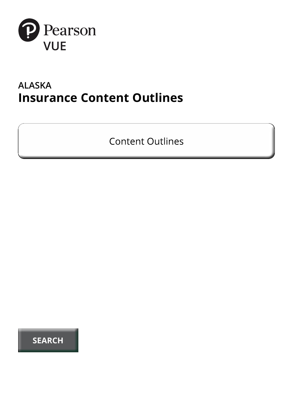

## **ALASKA Insurance Content Outlines**

**Content Outlines**